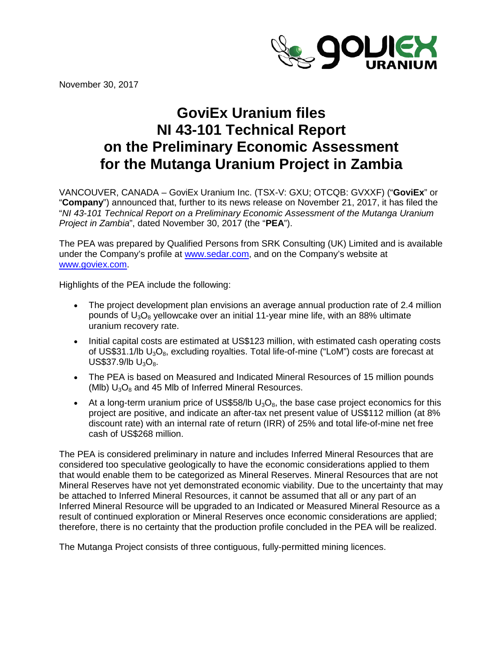

November 30, 2017

# **GoviEx Uranium files NI 43-101 Technical Report on the Preliminary Economic Assessment for the Mutanga Uranium Project in Zambia**

VANCOUVER, CANADA – GoviEx Uranium Inc. (TSX-V: GXU; OTCQB: GVXXF) ("**GoviEx**" or "**Company**") announced that, further to its news release on November 21, 2017, it has filed the "*NI 43-101 Technical Report on a Preliminary Economic Assessment of the Mutanga Uranium Project in Zambia*", dated November 30, 2017 (the "**PEA**").

The PEA was prepared by Qualified Persons from SRK Consulting (UK) Limited and is available under the Company's profile at [www.sedar.com,](http://www.sedar.com/) and on the Company's website at [www.goviex.com.](http://www.goviex.com/)

Highlights of the PEA include the following:

- The project development plan envisions an average annual production rate of 2.4 million pounds of  $U_3O_8$  yellowcake over an initial 11-year mine life, with an 88% ultimate uranium recovery rate.
- Initial capital costs are estimated at US\$123 million, with estimated cash operating costs of US\$31.1/lb  $U_3O_8$ , excluding royalties. Total life-of-mine ("LoM") costs are forecast at US\$37.9/lb  $U_3O_8$ .
- The PEA is based on Measured and Indicated Mineral Resources of 15 million pounds (Mlb)  $U_3O_8$  and 45 Mlb of Inferred Mineral Resources.
- At a long-term uranium price of US\$58/lb  $U_3O_8$ , the base case project economics for this project are positive, and indicate an after-tax net present value of US\$112 million (at 8% discount rate) with an internal rate of return (IRR) of 25% and total life-of-mine net free cash of US\$268 million.

The PEA is considered preliminary in nature and includes Inferred Mineral Resources that are considered too speculative geologically to have the economic considerations applied to them that would enable them to be categorized as Mineral Reserves. Mineral Resources that are not Mineral Reserves have not yet demonstrated economic viability. Due to the uncertainty that may be attached to Inferred Mineral Resources, it cannot be assumed that all or any part of an Inferred Mineral Resource will be upgraded to an Indicated or Measured Mineral Resource as a result of continued exploration or Mineral Reserves once economic considerations are applied; therefore, there is no certainty that the production profile concluded in the PEA will be realized.

The Mutanga Project consists of three contiguous, fully-permitted mining licences.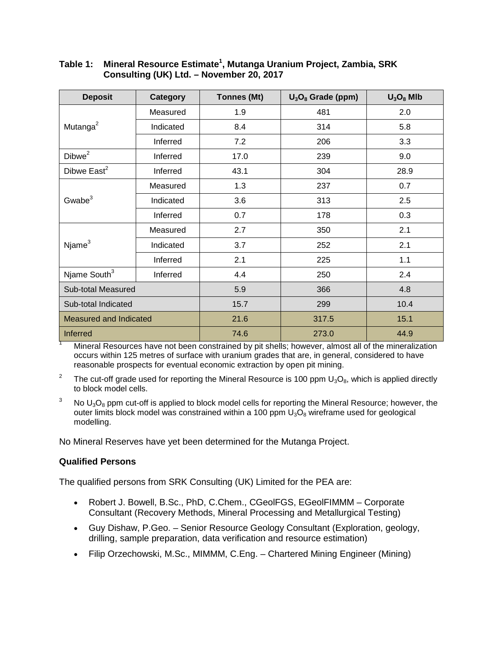| <b>Deposit</b>                | Category  | <b>Tonnes (Mt)</b> | $U_3O_8$ Grade (ppm) | $U_3O_8$ MIb |
|-------------------------------|-----------|--------------------|----------------------|--------------|
| Mutanga <sup>2</sup>          | Measured  | 1.9                | 481                  | 2.0          |
|                               | Indicated | 8.4                | 314                  | 5.8          |
|                               | Inferred  | 7.2                | 206                  | 3.3          |
| Dibwe <sup>2</sup>            | Inferred  | 17.0               | 239                  | 9.0          |
| Dibwe East <sup>2</sup>       | Inferred  | 43.1               | 304                  | 28.9         |
| Gwabe $3$                     | Measured  | 1.3                | 237                  | 0.7          |
|                               | Indicated | 3.6                | 313                  | 2.5          |
|                               | Inferred  | 0.7                | 178                  | 0.3          |
| $N$ jame $3$                  | Measured  | 2.7                | 350                  | 2.1          |
|                               | Indicated | 3.7                | 252                  | 2.1          |
|                               | Inferred  | 2.1                | 225                  | 1.1          |
| Njame South <sup>3</sup>      | Inferred  | 4.4                | 250                  | 2.4          |
| Sub-total Measured            |           | 5.9                | 366                  | 4.8          |
| Sub-total Indicated           |           | 15.7               | 299                  | 10.4         |
| <b>Measured and Indicated</b> |           | 21.6               | 317.5                | 15.1         |
| <b>Inferred</b>               |           | 74.6               | 273.0                | 44.9         |

## **Table 1: Mineral Resource Estimate1 , Mutanga Uranium Project, Zambia, SRK Consulting (UK) Ltd. – November 20, 2017**

Mineral Resources have not been constrained by pit shells; however, almost all of the mineralization occurs within 125 metres of surface with uranium grades that are, in general, considered to have reasonable prospects for eventual economic extraction by open pit mining.

<sup>2</sup> The cut-off grade used for reporting the Mineral Resource is 100 ppm  $U_3O_8$ , which is applied directly to block model cells.

 $3$  No U<sub>3</sub>O<sub>8</sub> ppm cut-off is applied to block model cells for reporting the Mineral Resource; however, the outer limits block model was constrained within a 100 ppm  $U_3O_8$  wireframe used for geological modelling.

No Mineral Reserves have yet been determined for the Mutanga Project.

#### **Qualified Persons**

The qualified persons from SRK Consulting (UK) Limited for the PEA are:

- Robert J. Bowell, B.Sc., PhD, C.Chem., CGeolFGS, EGeolFIMMM Corporate Consultant (Recovery Methods, Mineral Processing and Metallurgical Testing)
- Guy Dishaw, P.Geo. Senior Resource Geology Consultant (Exploration, geology, drilling, sample preparation, data verification and resource estimation)
- Filip Orzechowski, M.Sc., MIMMM, C.Eng. Chartered Mining Engineer (Mining)